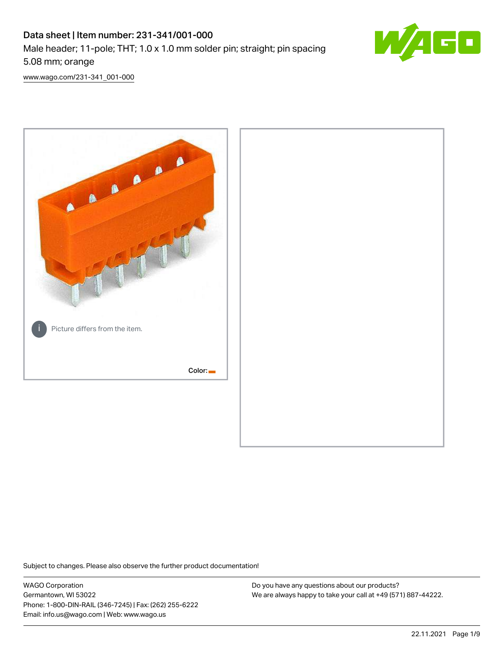# Data sheet | Item number: 231-341/001-000 Male header; 11-pole; THT; 1.0 x 1.0 mm solder pin; straight; pin spacing 5.08 mm; orange



[www.wago.com/231-341\\_001-000](http://www.wago.com/231-341_001-000)



Subject to changes. Please also observe the further product documentation!

WAGO Corporation Germantown, WI 53022 Phone: 1-800-DIN-RAIL (346-7245) | Fax: (262) 255-6222 Email: info.us@wago.com | Web: www.wago.us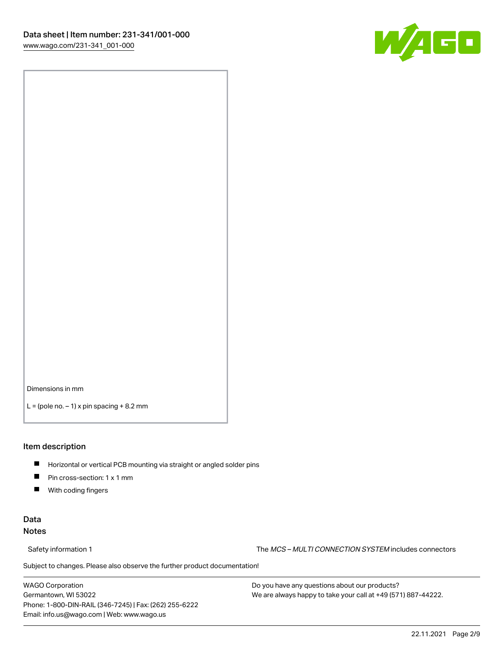

Dimensions in mm

 $L =$  (pole no.  $-1$ ) x pin spacing  $+8.2$  mm

#### Item description

- **Horizontal or vertical PCB mounting via straight or angled solder pins**
- **Pin cross-section: 1 x 1 mm**
- $\blacksquare$ With coding fingers

#### Data Notes

Safety information 1 The MCS – MULTI CONNECTION SYSTEM includes connectors

Subject to changes. Please also observe the further product documentation!  $\nu$ 

WAGO Corporation Germantown, WI 53022 Phone: 1-800-DIN-RAIL (346-7245) | Fax: (262) 255-6222 Email: info.us@wago.com | Web: www.wago.us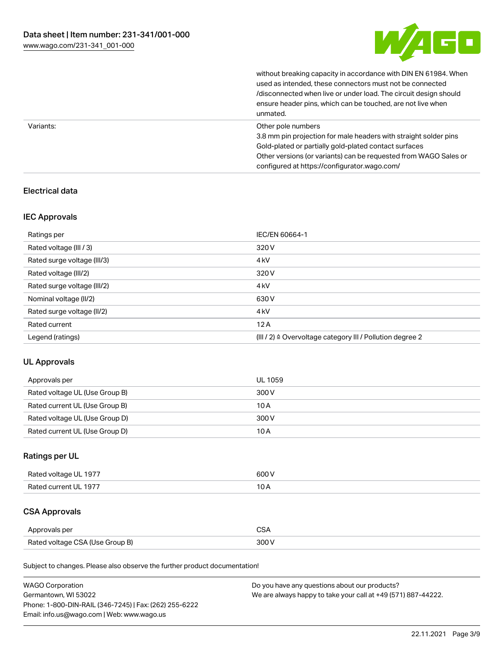

without breaking capacity in accordance with DIN EN 61984. When

|           | used as intended, these connectors must not be connected<br>/disconnected when live or under load. The circuit design should<br>ensure header pins, which can be touched, are not live when<br>unmated.                                                             |
|-----------|---------------------------------------------------------------------------------------------------------------------------------------------------------------------------------------------------------------------------------------------------------------------|
| Variants: | Other pole numbers<br>3.8 mm pin projection for male headers with straight solder pins<br>Gold-plated or partially gold-plated contact surfaces<br>Other versions (or variants) can be requested from WAGO Sales or<br>configured at https://configurator.wago.com/ |

### Electrical data

#### IEC Approvals

| Ratings per                 | IEC/EN 60664-1                                                        |
|-----------------------------|-----------------------------------------------------------------------|
| Rated voltage (III / 3)     | 320 V                                                                 |
| Rated surge voltage (III/3) | 4 <sub>k</sub> V                                                      |
| Rated voltage (III/2)       | 320 V                                                                 |
| Rated surge voltage (III/2) | 4 <sub>k</sub> V                                                      |
| Nominal voltage (II/2)      | 630 V                                                                 |
| Rated surge voltage (II/2)  | 4 <sub>k</sub> V                                                      |
| Rated current               | 12A                                                                   |
| Legend (ratings)            | $(III / 2)$ $\triangle$ Overvoltage category III / Pollution degree 2 |

#### UL Approvals

| Approvals per                  | UL 1059 |
|--------------------------------|---------|
| Rated voltage UL (Use Group B) | 300 V   |
| Rated current UL (Use Group B) | 10 A    |
| Rated voltage UL (Use Group D) | 300 V   |
| Rated current UL (Use Group D) | 10 A    |

### Ratings per UL

| Rated voltage UL 1977 | 600 V |
|-----------------------|-------|
| Rated current UL 1977 |       |

## CSA Approvals

| Approvals per                   | $\sim$ |
|---------------------------------|--------|
| Rated voltage CSA (Use Group B) | 300 V  |

Subject to changes. Please also observe the further product documentation!

| <b>WAGO Corporation</b>                                | Do you have any questions about our products?                 |
|--------------------------------------------------------|---------------------------------------------------------------|
| Germantown, WI 53022                                   | We are always happy to take your call at +49 (571) 887-44222. |
| Phone: 1-800-DIN-RAIL (346-7245)   Fax: (262) 255-6222 |                                                               |
| Email: info.us@wago.com   Web: www.wago.us             |                                                               |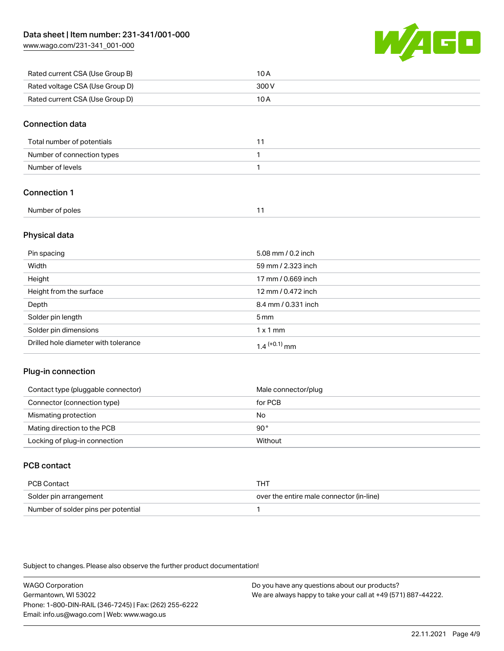[www.wago.com/231-341\\_001-000](http://www.wago.com/231-341_001-000)



| Rated current CSA (Use Group B) | 10 A  |
|---------------------------------|-------|
| Rated voltage CSA (Use Group D) | 300 V |
| Rated current CSA (Use Group D) | 10 A  |

#### Connection data

| Total number of potentials |  |
|----------------------------|--|
| Number of connection types |  |
| Number of levels           |  |

### Connection 1

| Number of poles |  |
|-----------------|--|
|                 |  |

### Physical data

| Pin spacing                          | 5.08 mm / 0.2 inch  |
|--------------------------------------|---------------------|
| Width                                | 59 mm / 2.323 inch  |
| Height                               | 17 mm / 0.669 inch  |
| Height from the surface              | 12 mm / 0.472 inch  |
| Depth                                | 8.4 mm / 0.331 inch |
| Solder pin length                    | $5 \,\mathrm{mm}$   |
| Solder pin dimensions                | $1 \times 1$ mm     |
| Drilled hole diameter with tolerance | $1.4$ $(+0.1)$ mm   |

#### Plug-in connection

| Contact type (pluggable connector) | Male connector/plug |
|------------------------------------|---------------------|
| Connector (connection type)        | for PCB             |
| Mismating protection               | No                  |
| Mating direction to the PCB        | 90°                 |
| Locking of plug-in connection      | Without             |

### PCB contact

| PCB Contact                         | THT                                      |
|-------------------------------------|------------------------------------------|
| Solder pin arrangement              | over the entire male connector (in-line) |
| Number of solder pins per potential |                                          |

Subject to changes. Please also observe the further product documentation!

WAGO Corporation Germantown, WI 53022 Phone: 1-800-DIN-RAIL (346-7245) | Fax: (262) 255-6222 Email: info.us@wago.com | Web: www.wago.us Do you have any questions about our products? We are always happy to take your call at +49 (571) 887-44222.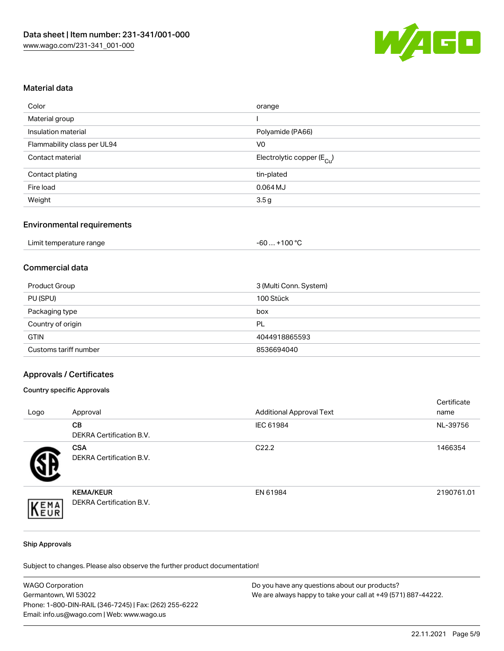

#### Material data

| orange                                 |
|----------------------------------------|
|                                        |
| Polyamide (PA66)                       |
| V <sub>0</sub>                         |
| Electrolytic copper (E <sub>Cu</sub> ) |
| tin-plated                             |
| $0.064$ MJ                             |
| 3.5 <sub>g</sub>                       |
|                                        |

#### Environmental requirements

| Limit temperature range | . +100 °C<br>-60 |
|-------------------------|------------------|
|-------------------------|------------------|

### Commercial data

| Product Group         | 3 (Multi Conn. System) |
|-----------------------|------------------------|
| PU (SPU)              | 100 Stück              |
| Packaging type        | box                    |
| Country of origin     | PL                     |
| <b>GTIN</b>           | 4044918865593          |
| Customs tariff number | 8536694040             |

#### Approvals / Certificates

#### Country specific Approvals

| Logo | Approval                                            | <b>Additional Approval Text</b> | Certificate<br>name |
|------|-----------------------------------------------------|---------------------------------|---------------------|
|      | <b>CB</b><br>DEKRA Certification B.V.               | IEC 61984                       | NL-39756            |
|      | <b>CSA</b><br>DEKRA Certification B.V.              | C <sub>22.2</sub>               | 1466354             |
| EMA  | <b>KEMA/KEUR</b><br><b>DEKRA Certification B.V.</b> | EN 61984                        | 2190761.01          |

#### Ship Approvals

Subject to changes. Please also observe the further product documentation!

| <b>WAGO Corporation</b>                                | Do you have any questions about our products?                 |
|--------------------------------------------------------|---------------------------------------------------------------|
| Germantown, WI 53022                                   | We are always happy to take your call at +49 (571) 887-44222. |
| Phone: 1-800-DIN-RAIL (346-7245)   Fax: (262) 255-6222 |                                                               |
| Email: info.us@wago.com   Web: www.wago.us             |                                                               |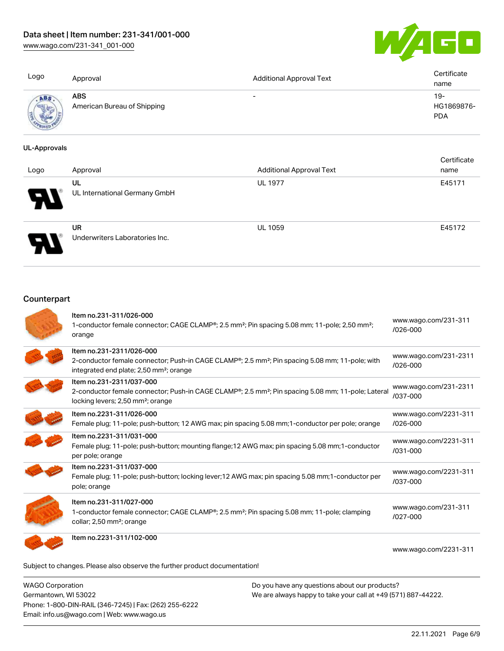### Data sheet | Item number: 231-341/001-000

[www.wago.com/231-341\\_001-000](http://www.wago.com/231-341_001-000)



| Logo       | Approval                                  | <b>Additional Approval Text</b> | Certificate<br>name               |
|------------|-------------------------------------------|---------------------------------|-----------------------------------|
| <b>ABS</b> | <b>ABS</b><br>American Bureau of Shipping | $\overline{\phantom{0}}$        | $19-$<br>HG1869876-<br><b>PDA</b> |

#### UL-Approvals

| Logo | Approval                                    | <b>Additional Approval Text</b> | Certificate<br>name |
|------|---------------------------------------------|---------------------------------|---------------------|
| en T | UL<br>UL International Germany GmbH         | <b>UL 1977</b>                  | E45171              |
|      | <b>UR</b><br>Underwriters Laboratories Inc. | <b>UL 1059</b>                  | E45172              |

### **Counterpart**

| Item no.231-311/026-000<br>1-conductor female connector; CAGE CLAMP®; 2.5 mm <sup>2</sup> ; Pin spacing 5.08 mm; 11-pole; 2,50 mm <sup>2</sup> ;<br>orange                                                  | www.wago.com/231-311<br>/026-000      |
|-------------------------------------------------------------------------------------------------------------------------------------------------------------------------------------------------------------|---------------------------------------|
| Item no.231-2311/026-000<br>2-conductor female connector; Push-in CAGE CLAMP <sup>®</sup> ; 2.5 mm <sup>2</sup> ; Pin spacing 5.08 mm; 11-pole; with<br>integrated end plate; 2,50 mm <sup>2</sup> ; orange | www.wago.com/231-2311<br>/026-000     |
| Item no.231-2311/037-000<br>2-conductor female connector; Push-in CAGE CLAMP®; 2.5 mm <sup>2</sup> ; Pin spacing 5.08 mm; 11-pole; Lateral<br>locking levers; 2,50 mm <sup>2</sup> ; orange                 | www.wago.com/231-2311<br>/037-000     |
| Item no.2231-311/026-000<br>Female plug; 11-pole; push-button; 12 AWG max; pin spacing 5.08 mm; 1-conductor per pole; orange                                                                                | www.wago.com/2231-311<br>/026-000     |
| Item no.2231-311/031-000<br>Female plug; 11-pole; push-button; mounting flange; 12 AWG max; pin spacing 5.08 mm; 1-conductor<br>per pole; orange                                                            | www.wago.com/2231-311<br>$/031 - 000$ |
| Item no.2231-311/037-000<br>Female plug; 11-pole; push-button; locking lever; 12 AWG max; pin spacing 5.08 mm; 1-conductor per<br>pole; orange                                                              | www.wago.com/2231-311<br>/037-000     |
| Item no.231-311/027-000<br>1-conductor female connector; CAGE CLAMP®; 2.5 mm <sup>2</sup> ; Pin spacing 5.08 mm; 11-pole; clamping<br>collar; 2,50 mm <sup>2</sup> ; orange                                 | www.wago.com/231-311<br>/027-000      |
| Item no.2231-311/102-000<br>Subject to changes. Please also observe the further product documentation!                                                                                                      | www.wago.com/2231-311                 |
|                                                                                                                                                                                                             |                                       |

WAGO Corporation Germantown, WI 53022 Phone: 1-800-DIN-RAIL (346-7245) | Fax: (262) 255-6222 Email: info.us@wago.com | Web: www.wago.us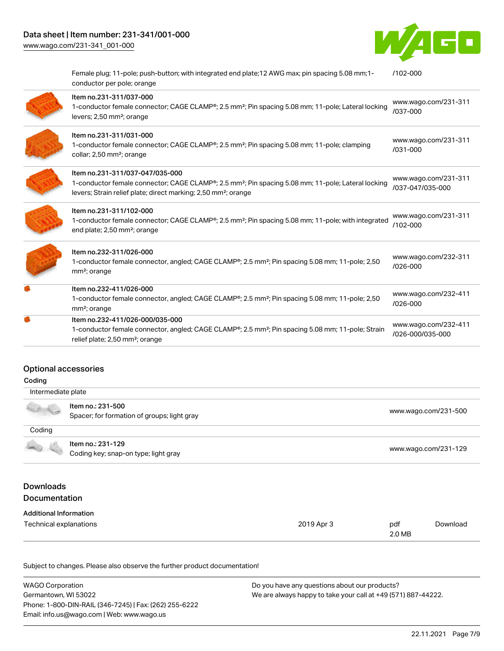

Female plug; 11-pole; push-button; with integrated end plate;12 AWG max; pin spacing 5.08 mm;1 conductor per pole; orange [/102-000](https://www.wago.com/2231-311/102-000)

| d. | Item no.232-411/026-000/035-000<br>1-conductor female connector, angled; CAGE CLAMP <sup>®</sup> ; 2.5 mm <sup>2</sup> ; Pin spacing 5.08 mm; 11-pole; Strain<br>relief plate; 2,50 mm <sup>2</sup> ; orange                    | www.wago.com/232-411<br>/026-000/035-000 |
|----|---------------------------------------------------------------------------------------------------------------------------------------------------------------------------------------------------------------------------------|------------------------------------------|
|    | Item no.232-411/026-000<br>1-conductor female connector, angled; CAGE CLAMP <sup>®</sup> ; 2.5 mm <sup>2</sup> ; Pin spacing 5.08 mm; 11-pole; 2,50<br>mm <sup>2</sup> ; orange                                                 | www.wago.com/232-411<br>$/026 - 000$     |
|    | Item no.232-311/026-000<br>1-conductor female connector, angled; CAGE CLAMP <sup>®</sup> ; 2.5 mm <sup>2</sup> ; Pin spacing 5.08 mm; 11-pole; 2,50<br>mm <sup>2</sup> ; orange                                                 | www.wago.com/232-311<br>$/026 - 000$     |
|    | Item no.231-311/102-000<br>1-conductor female connector; CAGE CLAMP®; 2.5 mm <sup>2</sup> ; Pin spacing 5.08 mm; 11-pole; with integrated<br>end plate; 2,50 mm <sup>2</sup> ; orange                                           | www.wago.com/231-311<br>/102-000         |
|    | Item no.231-311/037-047/035-000<br>1-conductor female connector; CAGE CLAMP®; 2.5 mm <sup>2</sup> ; Pin spacing 5.08 mm; 11-pole; Lateral locking<br>levers; Strain relief plate; direct marking; 2,50 mm <sup>2</sup> ; orange | www.wago.com/231-311<br>/037-047/035-000 |
|    | Item no.231-311/031-000<br>1-conductor female connector; CAGE CLAMP <sup>®</sup> ; 2.5 mm <sup>2</sup> ; Pin spacing 5.08 mm; 11-pole; clamping<br>collar; 2,50 mm <sup>2</sup> ; orange                                        | www.wago.com/231-311<br>$/031 - 000$     |
|    | Item no.231-311/037-000<br>1-conductor female connector; CAGE CLAMP®; 2.5 mm <sup>2</sup> ; Pin spacing 5.08 mm; 11-pole; Lateral locking<br>levers; 2,50 mm <sup>2</sup> ; orange                                              | www.wago.com/231-311<br>/037-000         |

#### Optional accessories

| Coding                            |                                                                  |            |                      |                      |
|-----------------------------------|------------------------------------------------------------------|------------|----------------------|----------------------|
| Intermediate plate                |                                                                  |            |                      |                      |
|                                   | Item no.: 231-500<br>Spacer; for formation of groups; light gray |            |                      | www.wago.com/231-500 |
| Coding                            |                                                                  |            |                      |                      |
|                                   | Item no.: 231-129<br>Coding key; snap-on type; light gray        |            | www.wago.com/231-129 |                      |
| Downloads<br><b>Documentation</b> |                                                                  |            |                      |                      |
| <b>Additional Information</b>     |                                                                  |            |                      |                      |
| Technical explanations            |                                                                  | 2019 Apr 3 | pdf<br>2.0 MB        | Download             |

Subject to changes. Please also observe the further product documentation!

| <b>WAGO Corporation</b>                                | Do you have any questions about our products?                 |
|--------------------------------------------------------|---------------------------------------------------------------|
| Germantown, WI 53022                                   | We are always happy to take your call at +49 (571) 887-44222. |
| Phone: 1-800-DIN-RAIL (346-7245)   Fax: (262) 255-6222 |                                                               |
| Email: info.us@wago.com   Web: www.wago.us             |                                                               |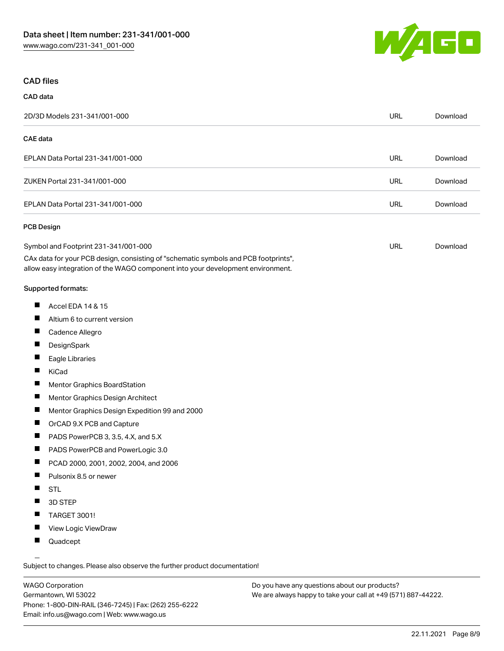

#### CAD files

| CAD data                                                                                                                                                                                                                                                                                                                                                         |            |          |
|------------------------------------------------------------------------------------------------------------------------------------------------------------------------------------------------------------------------------------------------------------------------------------------------------------------------------------------------------------------|------------|----------|
| 2D/3D Models 231-341/001-000                                                                                                                                                                                                                                                                                                                                     | <b>URL</b> | Download |
| CAE data                                                                                                                                                                                                                                                                                                                                                         |            |          |
| EPLAN Data Portal 231-341/001-000                                                                                                                                                                                                                                                                                                                                | <b>URL</b> | Download |
| ZUKEN Portal 231-341/001-000                                                                                                                                                                                                                                                                                                                                     | <b>URL</b> | Download |
| EPLAN Data Portal 231-341/001-000                                                                                                                                                                                                                                                                                                                                | <b>URL</b> | Download |
| PCB Design                                                                                                                                                                                                                                                                                                                                                       |            |          |
| Symbol and Footprint 231-341/001-000<br>CAx data for your PCB design, consisting of "schematic symbols and PCB footprints",<br>allow easy integration of the WAGO component into your development environment.                                                                                                                                                   | <b>URL</b> | Download |
| Supported formats:                                                                                                                                                                                                                                                                                                                                               |            |          |
| ш<br>Accel EDA 14 & 15<br>Altium 6 to current version<br><b>The State</b><br>Cadence Allegro<br>DesignSpark<br>Eagle Libraries<br>KiCad<br>П<br>Mentor Graphics BoardStation<br>Mentor Graphics Design Architect<br>Mentor Graphics Design Expedition 99 and 2000<br>$\blacksquare$<br>ш<br>OrCAD 9.X PCB and Capture<br>H<br>PADS PowerPCB 3, 3.5, 4.X, and 5.X |            |          |
| Ш<br>PADS PowerPCB and PowerLogic 3.0<br>×.<br>PCAD 2000, 2001, 2002, 2004, and 2006<br>Pulsonix 8.5 or newer<br>Ш<br><b>STL</b><br>ш<br>3D STEP                                                                                                                                                                                                                 |            |          |

- TARGET 3001!
- $\blacksquare$ View Logic ViewDraw
- $\blacksquare$ Quadcept

.<br>Subject to changes. Please also observe the further product documentation!

WAGO Corporation Germantown, WI 53022 Phone: 1-800-DIN-RAIL (346-7245) | Fax: (262) 255-6222 Email: info.us@wago.com | Web: www.wago.us